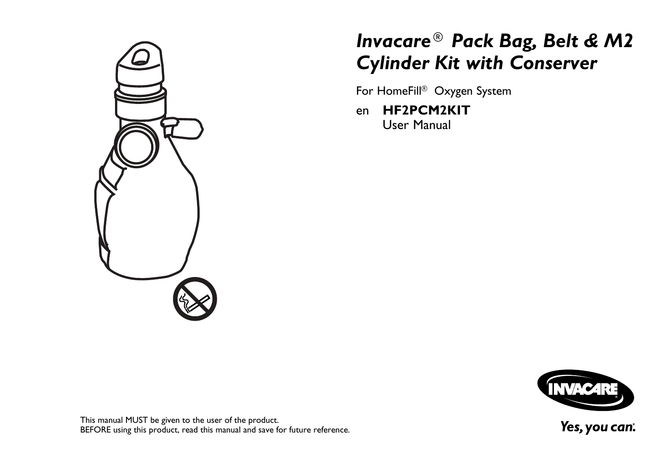

# *Invacare® Pack Bag, Belt & M2 Cylinder Kit with Conserver*

For HomeFill® Oxygen System

en **[HF2PCM2KIT](#page-2-0)** User [Manual](#page-2-0)



This manual MUST be <sup>g</sup>iven to the user of the product. BEFORE using this product, read this manual and save for future reference.

Yes, you can.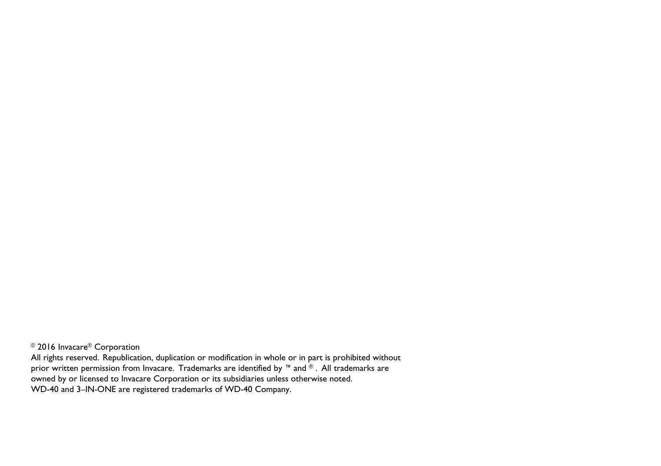©2016 Invacare®Corporation

All rights reserved. Republication, duplication or modification in whole or in part is prohibited without prior written permission from Invacare. Trademarks are identified by ™ and ®. All trademarks are owned by or licensed to Invacare Corporation or its subsidiaries unless otherwise noted. WD-40 and 3–IN-ONE are registered trademarks of WD-40 Company.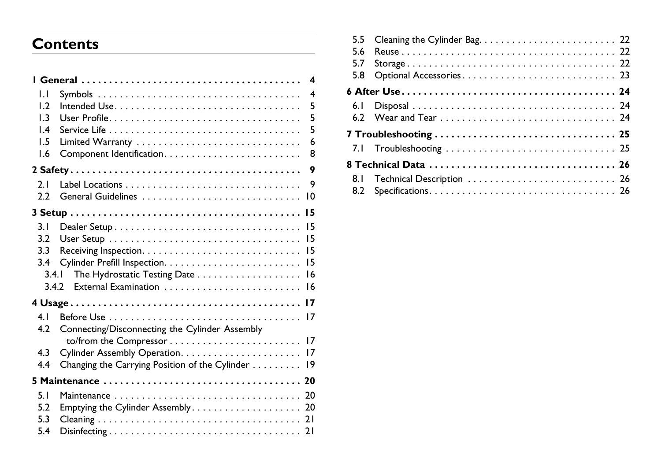# <span id="page-2-0"></span>**Contents**

| IJ               | $\overline{4}$                                    |
|------------------|---------------------------------------------------|
| 1.2              | 5                                                 |
| $\overline{1.3}$ | 5                                                 |
| $\mathsf{I}$ .4  | 5                                                 |
| 1.5              | 6                                                 |
| 1.6              | 8                                                 |
|                  | 9                                                 |
| 2.1              | 9                                                 |
| 2.2              | $\overline{10}$                                   |
|                  |                                                   |
| 3.1              |                                                   |
| 3.2              |                                                   |
| 3.3              |                                                   |
| 3.4              |                                                   |
| 3.4.1            | The Hydrostatic Testing Date 16                   |
|                  |                                                   |
|                  |                                                   |
|                  |                                                   |
| 4 <sub>1</sub>   |                                                   |
| 4.2              | Connecting/Disconnecting the Cylinder Assembly    |
| 4.3              |                                                   |
| 4.4              |                                                   |
|                  | Changing the Carrying Position of the Cylinder 19 |
|                  |                                                   |
| 5.1              |                                                   |
| 5.2              | Emptying the Cylinder Assembly 20                 |
| 5.3              |                                                   |
| 5.4              |                                                   |
|                  |                                                   |

| 5.5<br>5.6<br>5.7<br>5.8 |  |
|--------------------------|--|
|                          |  |
| 6. I                     |  |
|                          |  |
|                          |  |
|                          |  |
| 8. I<br>8.2              |  |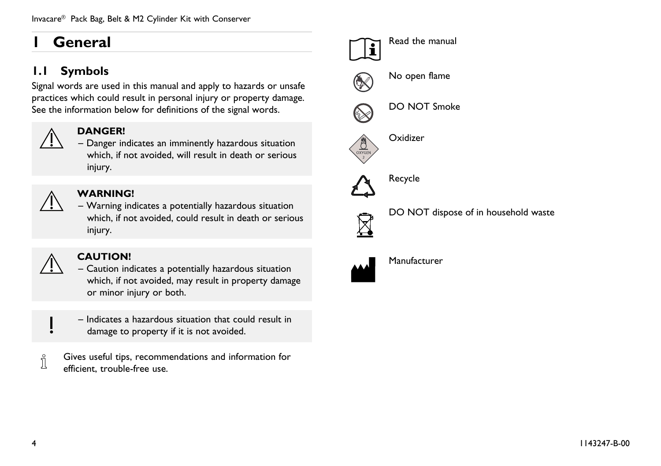# <span id="page-3-0"></span>**<sup>1</sup> General**

# **1.1 Symbols**

Signal words are used in this manual and apply to hazards or unsafe practices which could result in persona<sup>l</sup> injury or property damage. See the information below for definitions of the signal words.



#### **DANGER!**

– Danger indicates an imminently hazardous situation which, if not avoided, will result in death or serious injury.



#### **WARNING!**

– Warning indicates <sup>a</sup> potentially hazardous situation which, if not avoided, could result in death or serious injury.



#### **CAUTION!**

- Caution indicates <sup>a</sup> potentially hazardous situation which, if not avoided, may result in property damage or minor injury or both.
- Indicates <sup>a</sup> hazardous situation that could result in damage to property if it is not avoided.
- Gives useful tips, recommendations and information for Ĵ efficient, trouble-free use.



DO NOT dispose of in household waste



Manufacturer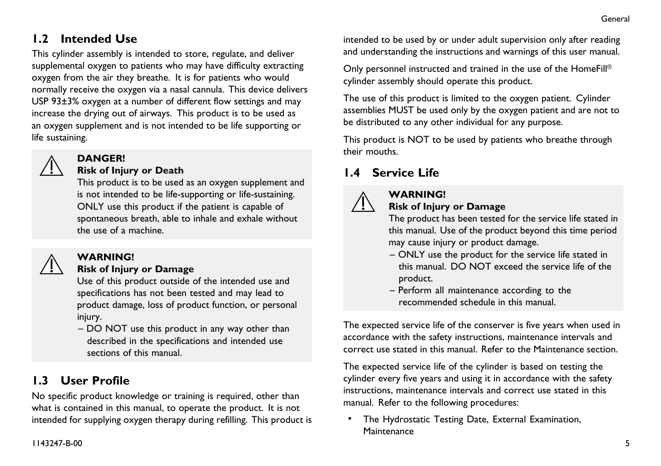# <span id="page-4-0"></span>**1.2 Intended Use**

This cylinder assembly is intended to store, regulate, and deliver supplemental oxygen to patients who may have difficulty extracting oxygen from the air they breathe. It is for patients who would normally receive the oxygen via <sup>a</sup> nasal cannula. This device delivers USP 93±3% oxygen at <sup>a</sup> number of different flow settings and may increase the drying out of airways. This product is to be used as an oxygen supplement and is not intended to be life supporting or life sustaining.



#### **DANGER!**

#### **Risk of Injury or Death**

This product is to be used as an oxygen supplement and is not intended to be life-supporting or life-sustaining. ONLY use this product if the patient is capable of spontaneous breath, able to inhale and exhale without the use of <sup>a</sup> machine.



#### **WARNING!**

#### **Risk of Injury or Damage**

Use of this product outside of the intended use and specifications has not been tested and may lead to product damage, loss of product function, or persona<sup>l</sup> injury.

– DO NOT use this product in any way other than described in the specifications and intended use sections of this manual.

# **1.3 User Profile**

No specific product knowledge or training is required, other than what is contained in this manual, to operate the product. It is not intended for supplying oxygen therapy during refilling. This product is intended to be used by or under adult supervision only after reading and understanding the instructions and warnings of this user manual.

Only personnel instructed and trained in the use of the HomeFill® cylinder assembly should operate this product.

The use of this product is limited to the oxygen patient. Cylinder assemblies MUST be used only by the oxygen patient and are not to be distributed to any other individual for any purpose.

This product is NOT to be used by patients who breathe through their mouths.

# **1.4 Service Life**

**WARNING!**



#### **Risk of Injury or Damage**

The product has been tested for the service life stated in this manual. Use of the product beyond this time period may cause injury or product damage.

- ONLY use the product for the service life stated in this manual. DO NOT exceed the service life of the product.
- Perform all maintenance according to the recommended schedule in this manual.

The expected service life of the conserver is five years when used in accordance with the safety instructions, maintenance intervals and correct use stated in this manual. Refer to the Maintenance section.

The expected service life of the cylinder is based on testing the cylinder every five years and using it in accordance with the safety instructions, maintenance intervals and correct use stated in this manual. Refer to the following procedures:

• The Hydrostatic Testing Date, External Examination, **Maintenance**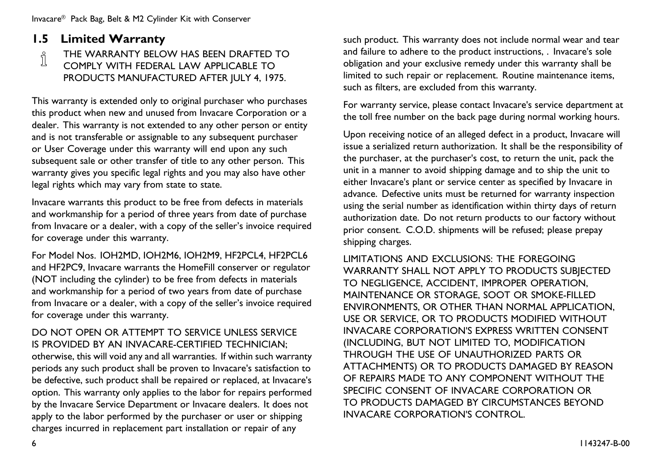# <span id="page-5-0"></span>**1.5 Limited Warranty**<br> **1.5 THE WARRANTY BELO**

THE WARRANTY BELOW HAS BEEN DRAFTED TO

COMPLY WITH FEDERAL LAW APPLICABLE TO PRODUCTS MANUFACTURED AFTER JULY 4, 1975.

This warranty is extended only to original purchaser who purchases this product when new and unused from Invacare Corporation or <sup>a</sup> dealer. This warranty is not extended to any other person or entity and is not transferable or assignable to any subsequent purchaser or User Coverage under this warranty will end upon any such subsequent sale or other transfer of title to any other person. This warranty <sup>g</sup>ives you specific legal rights and you may also have other legal rights which may vary from state to state.

Invacare warrants this product to be free from defects in materials and workmanship for <sup>a</sup> period of three years from date of purchase from Invacare or <sup>a</sup> dealer, with <sup>a</sup> copy of the seller's invoice required for coverage under this warranty.

For Model Nos. IOH2MD, IOH2M6, IOH2M9, HF2PCL4, HF2PCL6 and HF2PC9, Invacare warrants the HomeFill conserver or regulator (NOT including the cylinder) to be free from defects in materials and workmanship for <sup>a</sup> period of two years from date of purchase from Invacare or <sup>a</sup> dealer, with <sup>a</sup> copy of the seller's invoice required for coverage under this warranty.

#### DO NOT OPEN OR ATTEMPT TO SERVICE UNLESS SERVICE IS PROVIDED BY AN INVACARE-CERTIFIED TECHNICIAN;

otherwise, this will void any and all warranties. If within such warranty periods any such product shall be proven to Invacare's satisfaction to be defective, such product shall be repaired or replaced, at Invacare's option. This warranty only applies to the labor for repairs performed by the Invacare Service Department or Invacare dealers. It does not apply to the labor performed by the purchaser or user or shipping charges incurred in replacement part installation or repair of any

such product. This warranty does not include normal wear and tear and failure to adhere to the product instructions, . Invacare's sole obligation and your exclusive remedy under this warranty shall be limited to such repair or replacement. Routine maintenance items, such as filters, are excluded from this warranty.

For warranty service, <sup>p</sup>lease contact Invacare's service department at the toll free number on the back page during normal working hours.

Upon receiving notice of an alleged defect in <sup>a</sup> product, Invacare will issue <sup>a</sup> serialized return authorization. It shall be the responsibility of the purchaser, at the purchaser's cost, to return the unit, pac<sup>k</sup> the unit in <sup>a</sup> manner to avoid shipping damage and to ship the unit to either Invacare's <sup>p</sup>lant or service center as specified by Invacare in advance. Defective units must be returned for warranty inspection using the serial number as identification within thirty days of return authorization date. Do not return products to our factory without prior consent. C.O.D. shipments will be refused; <sup>p</sup>lease prepay shipping charges.

LIMITATIONS AND EXCLUSIONS: THE FOREGOING WARRANTY SHALL NOT APPLY TO PRODUCTS SUBJECTED TO NEGLIGENCE, ACCIDENT, IMPROPER OPERATION, MAINTENANCE OR STORAGE, SOOT OR SMOKE-FILLED ENVIRONMENTS, OR OTHER THAN NORMAL APPLICATION, USE OR SERVICE, OR TO PRODUCTS MODIFIED WITHOUT INVACARE CORPORATION'S EXPRESS WRITTEN CONSENT (INCLUDING, BUT NOT LIMITED TO, MODIFICATION THROUGH THE USE OF UNAUTHORIZED PARTS OR ATTACHMENTS) OR TO PRODUCTS DAMAGED BY REASON OF REPAIRS MADE TO ANY COMPONENT WITHOUT THE SPECIFIC CONSENT OF INVACARE CORPORATION OR TO PRODUCTS DAMAGED BY CIRCUMSTANCES BEYOND INVACARE CORPORATION'S CONTROL.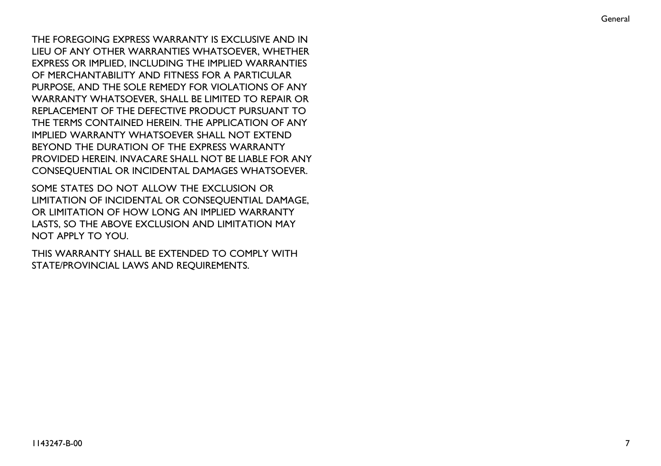THE FOREGOING EXPRESS WARRANTY IS EXCLUSIVE AND IN LIEU OF ANY OTHER WARRANTIES WHATSOEVER, WHETHER EXPRESS OR IMPLIED, INCLUDING THE IMPLIED WARRANTIES OF MERCHANTABILITY AND FITNESS FOR <sup>A</sup> PARTICULAR PURPOSE, AND THE SOLE REMEDY FOR VIOLATIONS OF ANY WARRANTY WHATSOEVER, SHALL BE LIMITED TO REPAIR OR REPLACEMENT OF THE DEFECTIVE PRODUCT PURSUANT TO THE TERMS CONTAINED HEREIN. THE APPLICATION OF ANY IMPLIED WARRANTY WHATSOEVER SHALL NOT EXTEND BEYOND THE DURATION OF THE EXPRESS WARRANTY PROVIDED HEREIN. INVACARE SHALL NOT BE LIABLE FOR ANY CONSEQUENTIAL OR INCIDENTAL DAMAGES WHATSOEVER.

SOME STATES DO NOT ALLOW THE EXCLUSION OR LIMITATION OF INCIDENTAL OR CONSEQUENTIAL DAMAGE, OR LIMITATION OF HOW LONG AN IMPLIED WARRANTY LASTS, SO THE ABOVE EXCLUSION AND LIMITATION MAY NOT APPLY TO YOU.

THIS WARRANTY SHALL BE EXTENDED TO COMPLY WITH STATE/PROVINCIAL LAWS AND REQUIREMENTS.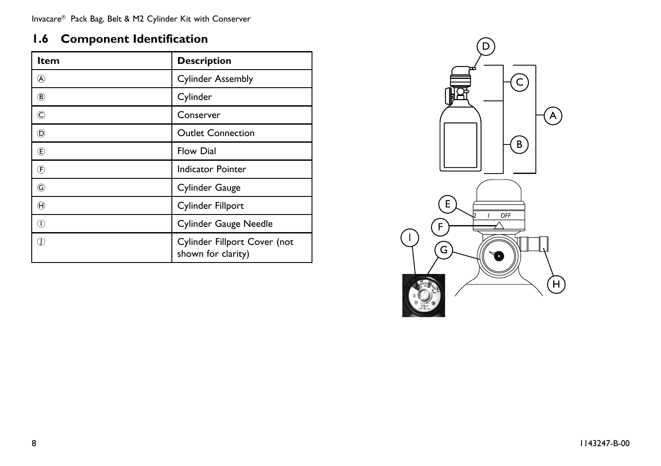# <span id="page-7-0"></span>**1.6 Component Identification**

| Item            | <b>Description</b>                                 |
|-----------------|----------------------------------------------------|
| @               | <b>Cylinder Assembly</b>                           |
| $\circledR$     | Cylinder                                           |
| $_{\mathbb{C}}$ | Conserver                                          |
| O)              | <b>Outlet Connection</b>                           |
|                 | <b>Flow Dial</b>                                   |
| (F)             | <b>Indicator Pointer</b>                           |
| G               | Cylinder Gauge                                     |
| $^{\circledR}$  | Cylinder Fillport                                  |
| ⋒               | Cylinder Gauge Needle                              |
| Œ               | Cylinder Fillport Cover (not<br>shown for clarity) |

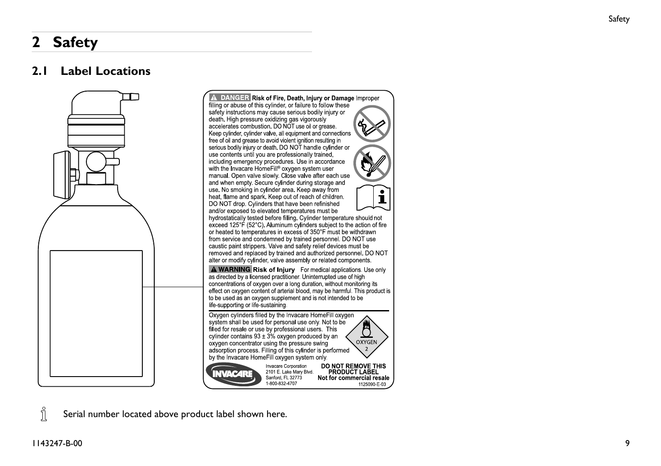# <span id="page-8-0"></span>**<sup>2</sup> Safety**

### **2.1 Label Locations**



Î Serial number located above product label shown here.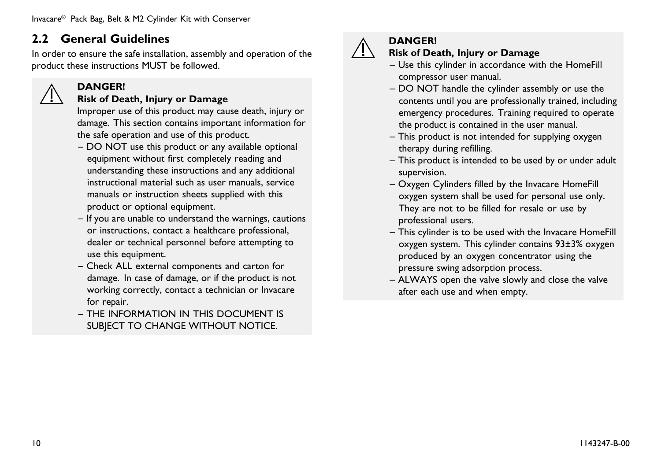### <span id="page-9-0"></span>**2.2 General Guidelines**

**DANGER!**

In order to ensure the safe installation, assembly and operation of the product these instructions MUST be followed.

#### **Risk of Death, Injury or Damage**

Improper use of this product may cause death, injury or damage. This section contains important information for the safe operation and use of this product.

- DO NOT use this product or any available optional equipment without first completely reading and understanding these instructions and any additional instructional material such as user manuals, service manuals or instruction sheets supplied with this product or optional equipment.
- If you are unable to understand the warnings, cautions or instructions, contact <sup>a</sup> healthcare professional, dealer or technical personne<sup>l</sup> before attempting to use this equipment.
- Check ALL external components and carton for damage. In case of damage, or if the product is not working correctly, contact <sup>a</sup> technician or Invacare for repair.
- THE INFORMATION IN THIS DOCUMENT IS SUBJECT TO CHANGE WITHOUT NOTICE.



#### **DANGER!**

#### **Risk of Death, Injury or Damage**

- Use this cylinder in accordance with the HomeFill compressor user manual.
- DO NOT handle the cylinder assembly or use the contents until you are professionally trained, including emergency procedures. Training required to operate the product is contained in the user manual.
- This product is not intended for supplying oxygen therapy during refilling.
- This product is intended to be used by or under adult supervision.
- Oxygen Cylinders filled by the Invacare HomeFill oxygen system shall be used for persona<sup>l</sup> use only. They are not to be filled for resale or use by professional users.
- This cylinder is to be used with the Invacare HomeFill oxygen system. This cylinder contains 93±3% oxygen produced by an oxygen concentrator using the pressure swing adsorption process.
- ALWAYS open the valve slowly and close the valve after each use and when empty.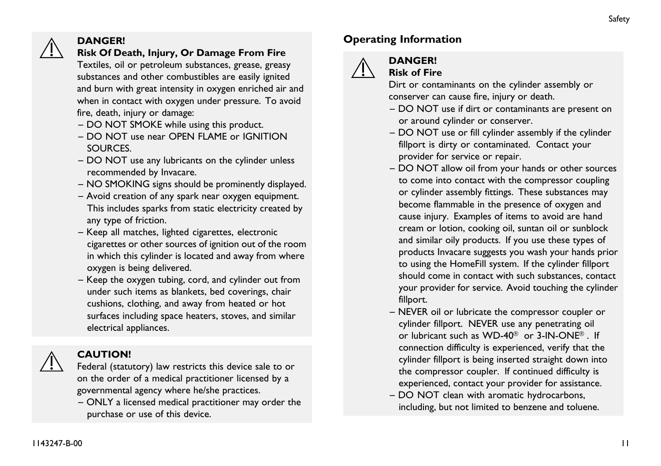#### **DANGER! Risk Of Death, Injury, Or Damage From Fire**

Textiles, oil or petroleum substances, grease, greasy substances and other combustibles are easily ignited and burn with grea<sup>t</sup> intensity in oxygen enriched air and when in contact with oxygen under pressure. To avoid fire, death, injury or damage:

- DO NOT SMOKE while using this product.
- DO NOT use near OPEN FLAME or IGNITION SOURCES.
- DO NOT use any lubricants on the cylinder unless recommended by Invacare.
- NO SMOKING signs should be prominently displayed.
- Avoid creation of any spar<sup>k</sup> near oxygen equipment. This includes sparks from static electricity created by any type of friction.
- Keep all matches, lighted cigarettes, electronic cigarettes or other sources of ignition out of the room in which this cylinder is located and away from where oxygen is being delivered.
- Keep the oxygen tubing, cord, and cylinder out from under such items as blankets, bed coverings, chair cushions, clothing, and away from heated or hot surfaces including space heaters, stoves, and similar electrical appliances.



#### **CAUTION!**

Federal (statutory) law restricts this device sale to or on the order of <sup>a</sup> medical practitioner licensed by <sup>a</sup> governmental agency where he/she practices.

– ONLY <sup>a</sup> licensed medical practitioner may order the purchase or use of this device.

### **Operating Information**



# **DANGER!**

**Risk of Fire**

Dirt or contaminants on the cylinder assembly or conserver can cause fire, injury or death.

- DO NOT use if dirt or contaminants are presen<sup>t</sup> on or around cylinder or conserver.
- DO NOT use or fill cylinder assembly if the cylinder fillport is dirty or contaminated. Contact your provider for service or repair.
- DO NOT allow oil from your hands or other sources to come into contact with the compressor coupling or cylinder assembly fittings. These substances may become flammable in the presence of oxygen and cause injury. Examples of items to avoid are hand cream or lotion, cooking oil, suntan oil or sunblock and similar oily products. If you use these types of products Invacare suggests you wash your hands prior to using the HomeFill system. If the cylinder fillport should come in contact with such substances, contact your provider for service. Avoid touching the cylinder fillport.
- NEVER oil or lubricate the compressor coupler or cylinder fillport. NEVER use any penetrating oil or lubricant such as WD-40® or 3-IN-ONE®. If connection difficulty is experienced, verify that the cylinder fillport is being inserted straight down into the compressor coupler. If continued difficulty is experienced, contact your provider for assistance.
- DO NOT clean with aromatic hydrocarbons, including, but not limited to benzene and toluene.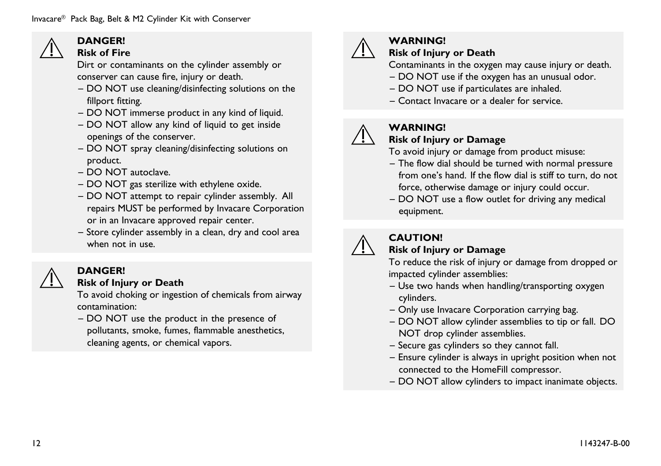#### **DANGER! Risk of Fire**

Dirt or contaminants on the cylinder assembly or conserver can cause fire, injury or death.

- DO NOT use cleaning/disinfecting solutions on the fillport fitting.
- DO NOT immerse product in any kind of liquid.
- DO NOT allow any kind of liquid to ge<sup>t</sup> inside openings of the conserver.
- DO NOT spray cleaning/disinfecting solutions on product.
- DO NOT autoclave.
- DO NOT gas sterilize with ethylene oxide.
- DO NOT attempt to repair cylinder assembly. All repairs MUST be performed by Invacare Corporation or in an Invacare approve<sup>d</sup> repair center.
- Store cylinder assembly in <sup>a</sup> clean, dry and cool area when not in use.



#### **DANGER!**

#### **Risk of Injury or Death**

To avoid choking or ingestion of chemicals from airway contamination:

– DO NOT use the product in the presence of pollutants, smoke, fumes, flammable anesthetics, cleaning agents, or chemical vapors.



#### **WARNING!**

#### **Risk of Injury or Death**

Contaminants in the oxygen may cause injury or death.

- DO NOT use if the oxygen has an unusual odor.
- DO NOT use if particulates are inhaled.
- Contact Invacare or <sup>a</sup> dealer for service.

#### **WARNING!**

#### **Risk of Injury or Damage**

To avoid injury or damage from product misuse:

- The flow dial should be turned with normal pressure from one's hand. If the flow dial is stiff to turn, do not force, otherwise damage or injury could occur.
- DO NOT use <sup>a</sup> flow outlet for driving any medical equipment.



#### **CAUTION!**

#### **Risk of Injury or Damage**

To reduce the risk of injury or damage from dropped or impacted cylinder assemblies:

- Use two hands when handling/transporting oxygen cylinders.
- Only use Invacare Corporation carrying bag.
- DO NOT allow cylinder assemblies to tip or fall. DO NOT drop cylinder assemblies.
- Secure gas cylinders so they cannot fall.
- Ensure cylinder is always in upright position when not connected to the HomeFill compressor.
- DO NOT allow cylinders to impact inanimate objects.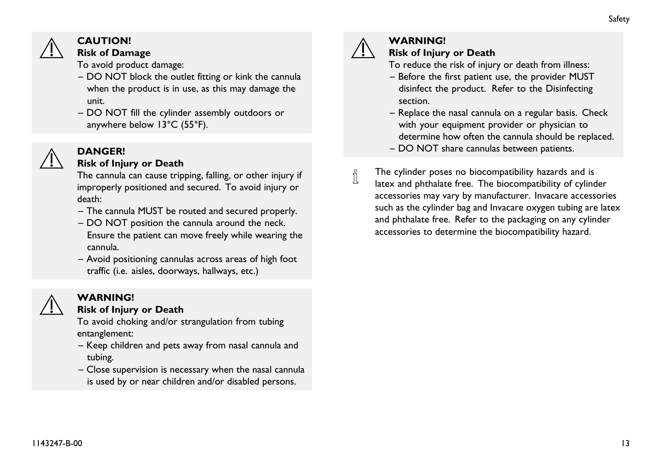

#### **CAUTION!**

#### **Risk of Damage**

To avoid product damage:

- DO NOT block the outlet fitting or kink the cannula when the product is in use, as this may damage the unit.
- DO NOT fill the cylinder assembly outdoors or anywhere below 13°C (55°F).

#### **DANGER!**

#### **Risk of Injury or Death**

The cannula can cause tripping, falling, or other injury if improperly positioned and secured. To avoid injury or death:

- The cannula MUST be routed and secured properly.
- DO NOT position the cannula around the neck. Ensure the patient can move freely while wearing the cannula.
- Avoid positioning cannulas across areas of high foot traffic (i.e. aisles, doorways, hallways, etc.)

#### **WARNING! Risk of Injury or Death**

To avoid choking and/or strangulation from tubing entanglement:

- Keep children and pets away from nasal cannula and tubing.
- Close supervision is necessary when the nasal cannula is used by or near children and/or disabled persons.



#### **WARNING!**

#### **Risk of Injury or Death**

- To reduce the risk of injury or death from illness:
- Before the first patient use, the provider MUST disinfect the product. Refer to the Disinfecting section.
- Replace the nasal cannula on <sup>a</sup> regular basis. Check with your equipment provider or <sup>p</sup>hysician to determine how often the cannula should be replaced.
- DO NOT share cannulas between patients.
- The cylinder poses no biocompatibility hazards and is ĭ latex and <sup>p</sup>hthalate free. The biocompatibility of cylinder accessories may vary by manufacturer. Invacare accessories such as the cylinder bag and Invacare oxygen tubing are latex and <sup>p</sup>hthalate free. Refer to the packaging on any cylinder accessories to determine the biocompatibility hazard.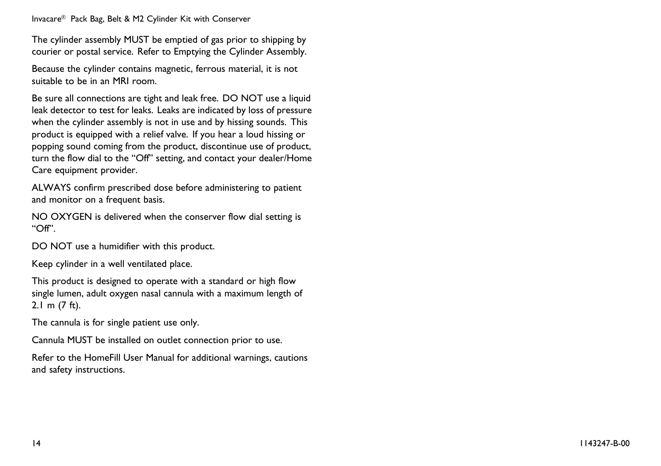Invacare® Pack Bag, Belt & M2 Cylinder Kit with Conserver

The cylinder assembly MUST be emptied of gas prior to shipping by courier or postal service. Refer to Emptying the Cylinder Assembly.

Because the cylinder contains magnetic, ferrous material, it is not suitable to be in an MRI room.

Be sure all connections are tight and leak free. DO NOT use <sup>a</sup> liquid leak detector to test for leaks. Leaks are indicated by loss of pressure when the cylinder assembly is not in use and by hissing sounds. This product is equipped with <sup>a</sup> relief valve. If you hear <sup>a</sup> loud hissing or popping sound coming from the product, discontinue use of product, turn the flow dial to the "Off" setting, and contact your dealer/Home Care equipment provider.

ALWAYS confirm prescribed dose before administering to patient and monitor on <sup>a</sup> frequent basis.

NO OXYGEN is delivered when the conserver flow dial setting is "Off".

DO NOT use a humidifier with this product.

Keep cylinder in <sup>a</sup> well ventilated <sup>p</sup>lace.

This product is designed to operate with <sup>a</sup> standard or high flow single lumen, adult oxygen nasal cannula with <sup>a</sup> maximum length of 2.1 <sup>m</sup> (7 ft).

The cannula is for single patient use only.

Cannula MUST be installed on outlet connection prior to use.

Refer to the HomeFill User Manual for additional warnings, cautions and safety instructions.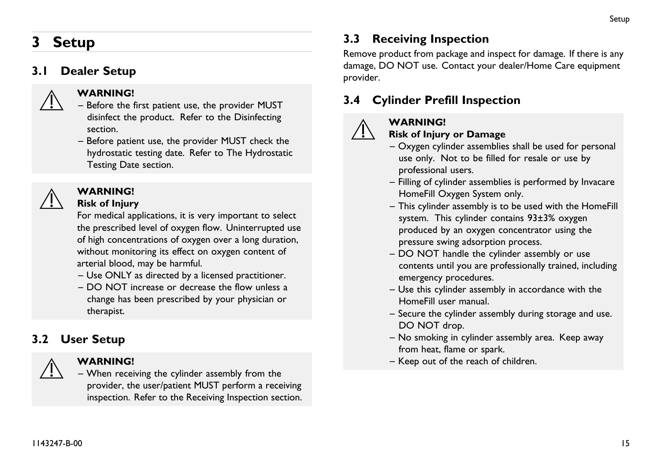# <span id="page-14-0"></span>**<sup>3</sup> Setup**

#### **3.1 Dealer Setup**



#### **WARNING!**

- Before the first patient use, the provider MUST disinfect the product. Refer to the Disinfecting section.
- Before patient use, the provider MUST check the hydrostatic testing date. Refer to The Hydrostatic Testing Date section.



# **WARNING!**

#### **Risk of Injury**

For medical applications, it is very important to select the prescribed level of oxygen flow. Uninterrupted use of high concentrations of oxygen over <sup>a</sup> long duration, without monitoring its effect on oxygen content of arterial blood, may be harmful.

- Use ONLY as directed by <sup>a</sup> licensed practitioner.
- DO NOT increase or decrease the flow unless <sup>a</sup> change has been prescribed by your <sup>p</sup>hysician or therapist.

# **3.2 User Setup**



#### **WARNING!**

– When receiving the cylinder assembly from the provider, the user/patient MUST perform <sup>a</sup> receiving inspection. Refer to the Receiving Inspection section.

# **3.3 Receiving Inspection**

Remove product from package and inspect for damage. If there is any damage, DO NOT use. Contact your dealer/Home Care equipment provider.

# **3.4 Cylinder Prefill Inspection**



#### **WARNING!**

#### **Risk of Injury or Damage**

- Oxygen cylinder assemblies shall be used for persona<sup>l</sup> use only. Not to be filled for resale or use by professional users.
- Filling of cylinder assemblies is performed by Invacare HomeFill Oxygen System only.
- This cylinder assembly is to be used with the HomeFill system. This cylinder contains 93±3% oxygen produced by an oxygen concentrator using the pressure swing adsorption process.
- DO NOT handle the cylinder assembly or use contents until you are professionally trained, including emergency procedures.
- Use this cylinder assembly in accordance with the HomeFill user manual.
- Secure the cylinder assembly during storage and use.<br>  $\overline{PQ}$  NQT dues DO NOT drop.
- No smoking in cylinder assembly area. Keep away from heat, flame or spark.
- Keep out of the reach of children.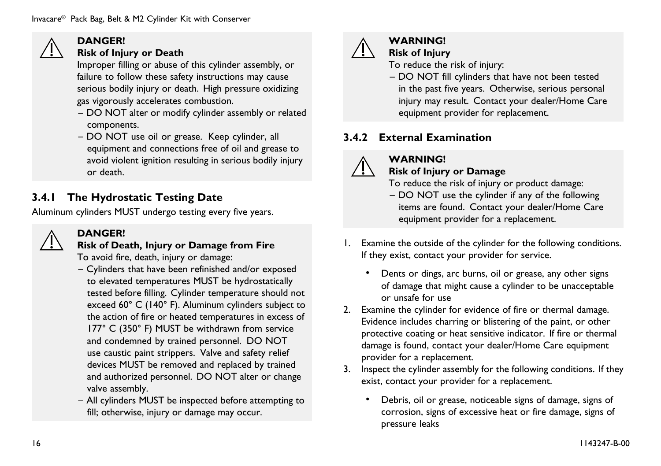<span id="page-15-0"></span>

#### **DANGER!**

#### **Risk of Injury or Death**

Improper filling or abuse of this cylinder assembly, or failure to follow these safety instructions may cause serious bodily injury or death. High pressure oxidizing gas vigorously accelerates combustion.

- DO NOT alter or modify cylinder assembly or related components.
- DO NOT use oil or grease. Keep cylinder, all equipment and connections free of oil and grease to avoid violent ignition resulting in serious bodily injury or death.

# **3.4.1 The Hydrostatic Testing Date**

Aluminum cylinders MUST undergo testing every five years.



#### **DANGER!**

#### **Risk of Death, Injury or Damage from Fire** To avoid fire, death, injury or damage:

- Cylinders that have been refinished and/or expose<sup>d</sup> to elevated temperatures MUST be hydrostatically tested before filling. Cylinder temperature should not exceed 60° <sup>C</sup> (140° F). Aluminum cylinders subject to the action of fire or heated temperatures in excess of 177° <sup>C</sup> (350° F) MUST be withdrawn from service and condemned by trained personnel. DO NOT use caustic paint strippers. Valve and safety relief devices MUST be removed and replaced by trained and authorized personnel. DO NOT alter or change valve assembly.
- All cylinders MUST be inspected before attempting to fill; otherwise, injury or damage may occur.



#### **WARNING!**

#### **Risk of Injury** To reduce the risk of injury:

– DO NOT fill cylinders that have not been tested in the pas<sup>t</sup> five years. Otherwise, serious persona<sup>l</sup> injury may result. Contact your dealer/Home Care equipment provider for replacement.

### **3.4.2 External Examination**



#### **WARNING!**

- **Risk of Injury or Damage**
- To reduce the risk of injury or product damage:
- DO NOT use the cylinder if any of the following items are found. Contact your dealer/Home Care equipment provider for <sup>a</sup> replacement.
- 1. Examine the outside of the cylinder for the following conditions. If they exist, contact your provider for service.
	- Dents or dings, arc burns, oil or grease, any other signs of damage that might cause <sup>a</sup> cylinder to be unacceptable or unsafe for use
- 2. Examine the cylinder for evidence of fire or thermal damage. Evidence includes charring or blistering of the paint, or other protective coating or heat sensitive indicator. If fire or thermal damage is found, contact your dealer/Home Care equipment provider for <sup>a</sup> replacement.
- 3. Inspect the cylinder assembly for the following conditions. If they exist, contact your provider for <sup>a</sup> replacement.
	- • Debris, oil or grease, noticeable signs of damage, signs of corrosion, signs of excessive heat or fire damage, signs of pressure leaks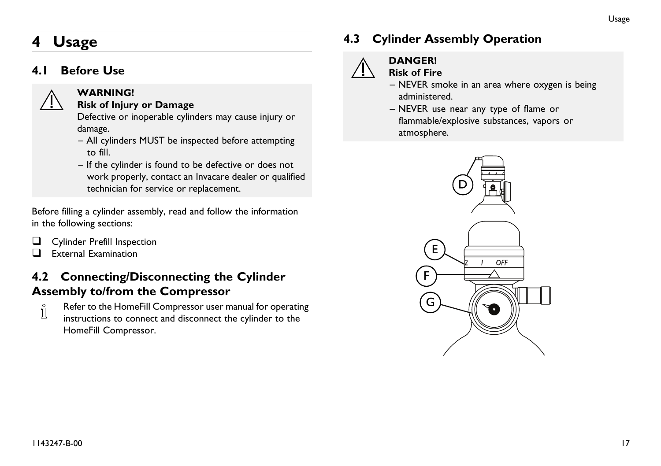# <span id="page-16-0"></span>**<sup>4</sup> Usage**

#### **4.1 Before Use**



#### **WARNING!**

#### **Risk of Injury or Damage**

Defective or inoperable cylinders may cause injury or damage.

- All cylinders MUST be inspected before attempting to fill.
- If the cylinder is found to be defective or does not work properly, contact an Invacare dealer or qualified technician for service or replacement.

Before filling <sup>a</sup> cylinder assembly, read and follow the information in the following sections:

- $\Box$  Cylinder Prefill Inspection<br> $\Box$  External Examination
- **External Examination**

# **4.2 Connecting/Disconnecting the Cylinder**

**Assembly <b>to/from the Compressor**<br>  $\parallel$  **Refer to the HomeFill Compressor user m**<br> **interaction to appear to the discovered** Refer to the HomeFill Compressor user manual for operating instructions to connect and disconnect the cylinder to the HomeFill Compressor.

# **4.3 Cylinder Assembly Operation**



#### **DANGER!**

#### **Risk of Fire**

- NEVER smoke in an area where oxygen is being administered.
- NEVER use near any type of flame or flammable/explosive substances, vapors or atmosphere.

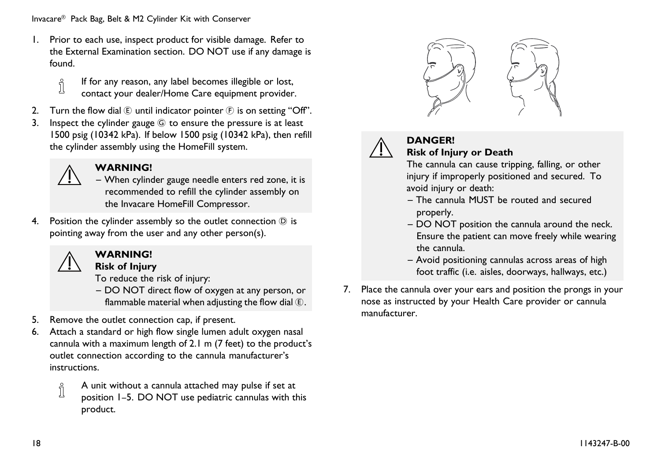Invacare® Pack Bag, Belt & M2 Cylinder Kit with Conserver

- 1. Prior to each use, inspect product for visible damage. Refer to the External Examination section. DO NOT use if any damage is found.
	- If for any reason, any label becomes illegible or lost, ĭ contact your dealer/Home Care equipment provider.
- 2. Turn the flow dial  $\bigoplus$  until indicator pointer  $\bigoplus$  is on setting "Off".<br>3. Inspect the cylinder gauge  $\bigoplus$  to ensure the pressure is at least
- Inspect the cylinder gauge  $\circledG$  to ensure the pressure is at least <sup>1500</sup> psig (10342 kPa). If below <sup>1500</sup> psig (10342 kPa), then refill the cylinder assembly using the HomeFill system.



#### **WARNING!**

- When cylinder gauge needle enters red zone, it is recommended to refill the cylinder assembly on the Invacare HomeFill Compressor.
- 4. Position the cylinder assembly so the outlet connection  $\overline{O}$  is pointing away from the user and any other person(s).



#### **WARNING!**

**Risk of Injury**

To reduce the risk of injury:

- DO NOT direct flow of oxygen at any person, or flammable material when adjusting the flow dial  $(E)$ .
- 5. Remove the outlet connection cap, if present.<br>6. Attach a standard or high flow single lumen ad
- Attach a standard or high flow single lumen adult oxygen nasal cannula with <sup>a</sup> maximum length of 2.1 <sup>m</sup> (7 feet) to the product's outlet connection according to the cannula manufacturer's instructions.
	- <sup>A</sup> unit without <sup>a</sup> cannula attached may pulse if set at ĭ position 1–5. DO NOT use pediatric cannulas with this product.





#### **DANGER! Risk of Injury or Death**

The cannula can cause tripping, falling, or other injury if improperly positioned and secured. To avoid injury or death:

- The cannula MUST be routed and secured properly.
- DO NOT position the cannula around the neck. Ensure the patient can move freely while wearing the cannula.
- Avoid positioning cannulas across areas of high foot traffic (i.e. aisles, doorways, hallways, etc.)
- 7. Place the cannula over your ears and position the prongs in your nose as instructed by your Health Care provider or cannula manufacturer.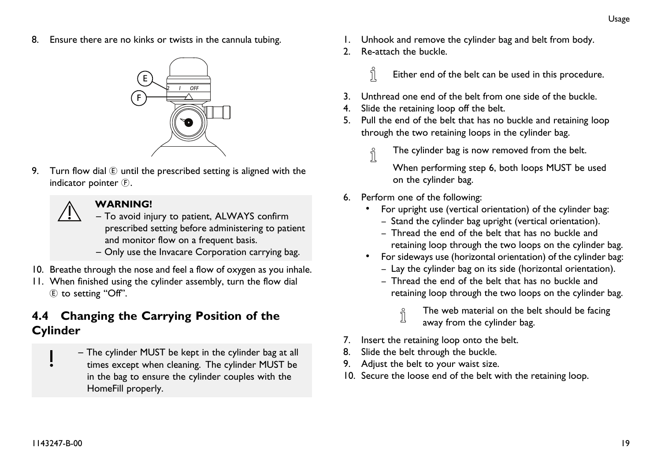<span id="page-18-0"></span>8. Ensure there are no kinks or twists in the cannula tubing.



9. Turn flow dial  $(E)$  until the prescribed setting is aligned with the indicator pointer (F).

# **WARNING!**

- To avoid injury to patient, ALWAYS confirm prescribed setting before administering to patient and monitor flow on <sup>a</sup> frequent basis.
- Only use the Invacare Corporation carrying bag.
- 10. Breathe through the nose and feel <sup>a</sup> flow of oxygen as you inhale.
- 11. When finished using the cylinder assembly, turn the flow dial <sup>E</sup> to setting "Off".

### **4.4 Changing the Carrying Position of the Cylinder**

– The cylinder MUST be kept in the cylinder bag at all times excep<sup>t</sup> when cleaning. The cylinder MUST be in the bag to ensure the cylinder couples with the HomeFill properly.

- 1. Unhook and remove the cylinder bag and belt from body.
- 2. Re-attach the buckle.
	- i Either end of the belt can be used in this procedure.
- 3. Unthread one end of the belt from one side of the buckle.
- 4. Slide the retaining loop off the belt.
- 5. Pull the end of the belt that has no buckle and retaining loop through the two retaining loops in the cylinder bag.
	- The cylinder bag is now removed from the belt.  $\hat{1}$

When performing step 6, both loops MUST be used on the cylinder bag.

- 6. Perform one of the following:
	- For upright use (vertical orientation) of the cylinder bag:
		- Stand the cylinder bag upright (vertical orientation).
		- Thread the end of the belt that has no buckle and retaining loop through the two loops on the cylinder bag.
	- For sideways use (horizontal orientation) of the cylinder bag: – Lay the cylinder bag on its side (horizontal orientation).
		- Thread the end of the belt that has no buckle and retaining loop through the two loops on the cylinder bag.
			- j The web material on the belt should be facing away from the cylinder bag.
- 7. Insert the retaining loop onto the belt.
- 8. Slide the belt through the buckle.
- 9. Adjust the belt to your waist size.
- 10. Secure the loose end of the belt with the retaining loop.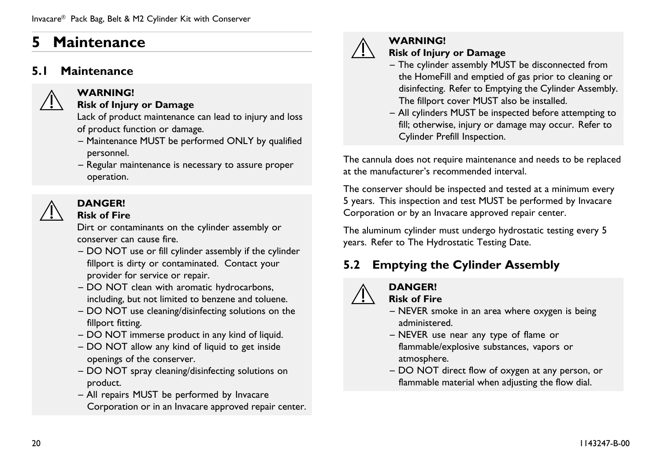# <span id="page-19-0"></span>**<sup>5</sup> Maintenance**

#### **5.1 Maintenance**



#### **WARNING!**

#### **Risk of Injury or Damage**

Lack of product maintenance can lead to injury and loss of product function or damage.

- Maintenance MUST be performed ONLY by qualified personnel.
- Regular maintenance is necessary to assure proper operation.



#### **DANGER!**

**Risk of Fire**

Dirt or contaminants on the cylinder assembly or conserver can cause fire.

- DO NOT use or fill cylinder assembly if the cylinder fillport is dirty or contaminated. Contact your provider for service or repair.
- DO NOT clean with aromatic hydrocarbons, including, but not limited to benzene and toluene.
- DO NOT use cleaning/disinfecting solutions on the fillport fitting.
- DO NOT immerse product in any kind of liquid.
- DO NOT allow any kind of liquid to ge<sup>t</sup> inside openings of the conserver.
- DO NOT spray cleaning/disinfecting solutions on product.
- All repairs MUST be performed by Invacare Corporation or in an Invacare approve<sup>d</sup> repair center.



# **WARNING!**

- **Risk of Injury or Damage**
- The cylinder assembly MUST be disconnected from the HomeFill and emptied of gas prior to cleaning or disinfecting. Refer to Emptying the Cylinder Assembly. The fillport cover MUST also be installed.
- All cylinders MUST be inspected before attempting to fill; otherwise, injury or damage may occur. Refer to Cylinder Prefill Inspection.

The cannula does not require maintenance and needs to be replaced at the manufacturer's recommended interval.

The conserver should be inspected and tested at <sup>a</sup> minimum every <sup>5</sup> years. This inspection and test MUST be performed by Invacare Corporation or by an Invacare approve<sup>d</sup> repair center.

The aluminum cylinder must undergo hydrostatic testing every <sup>5</sup> years. Refer to The Hydrostatic Testing Date.

# **5.2 Emptying the Cylinder Assembly**



#### **DANGER!**

**Risk of Fire**

- NEVER smoke in an area where oxygen is being administered.
- NEVER use near any type of flame or flammable/explosive substances, vapors or atmosphere.
- DO NOT direct flow of oxygen at any person, or flammable material when adjusting the flow dial.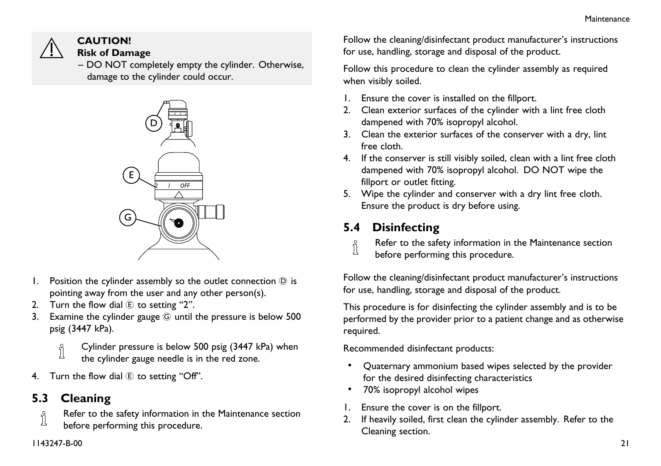<span id="page-20-0"></span>

#### **CAUTION! Risk of Damage**

– DO NOT completely empty the cylinder. Otherwise, damage to the cylinder could occur.



- 1. Position the cylinder assembly so the outlet connection  $\odot$  is pointing away from the user and any other person(s).
- 2. Turn the flow dial  $E$  to setting "2".
- 3. Examine the cylinder gauge <sup>G</sup> until the pressure is below <sup>500</sup> psig (3447 kPa).
	- ĭ Cylinder pressure is below <sup>500</sup> psig (3447 kPa) when
	- the cylinder gauge needle is in the red zone.
- 4. Turn the flow dial  $\mathbb E$  to setting "Off".

**5.3 Cleaning**<br> **Refer to the** Refer to the safety information in the Maintenance section before performing this procedure.

Follow the cleaning/disinfectant product manufacturer's instructions for use, handling, storage and disposal of the product.

Follow this procedure to clean the cylinder assembly as required when visibly soiled.

- 1. Ensure the cover is installed on the fillport.
- 2. Clean exterior surfaces of the cylinder with <sup>a</sup> lint free cloth dampened with 70% isopropyl alcohol.
- 3. Clean the exterior surfaces of the conserver with <sup>a</sup> dry, lint free cloth.
- 4. If the conserver is still visibly soiled, clean with <sup>a</sup> lint free cloth dampened with 70% isopropyl alcohol. DO NOT wipe the fillport or outlet fitting.
- 5. Wipe the cylinder and conserver with <sup>a</sup> dry lint free cloth. Ensure the product is dry before using.

**5.4 Disinfecting**<br> **Refer to the safe** Refer to the safety information in the Maintenance section before performing this procedure.

Follow the cleaning/disinfectant product manufacturer's instructions for use, handling, storage and disposal of the product.

This procedure is for disinfecting the cylinder assembly and is to be performed by the provider prior to <sup>a</sup> patient change and as otherwise required.

Recommended disinfectant products:

- • Quaternary ammonium based wipes selected by the provider for the desired disinfecting characteristics
- •70% isopropyl alcohol wipes
- 1. Ensure the cover is on the fillport.<br>2. If heavily soiled, first clean the cylin
- If heavily soiled, first clean the cylinder assembly. Refer to the Cleaning section.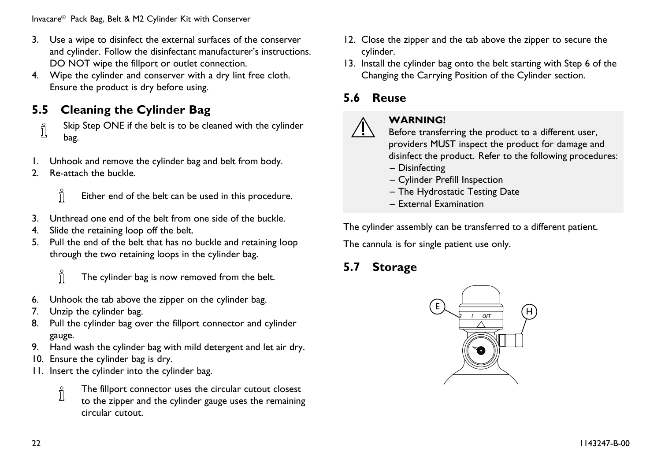<span id="page-21-0"></span>Invacare® Pack Bag, Belt & M2 Cylinder Kit with Conserver

- 3. Use <sup>a</sup> wipe to disinfect the external surfaces of the conserver and cylinder. Follow the disinfectant manufacturer's instructions. DO NOT wipe the fillport or outlet connection.
- 4. Wipe the cylinder and conserver with <sup>a</sup> dry lint free cloth. Ensure the product is dry before using.

**5.5 Cleaning the Cylinder Bag**<br>  $\oint_{\parallel}$  Skip Step ONE if the belt is to be cle Skip Step ONE if the belt is to be cleaned with the cylinder bag.

- 1. Unhook and remove the cylinder bag and belt from body.<br>2. Re-attach the buckle.
- 2. Re-attach the buckle.



Either end of the belt can be used in this procedure.

- 3. Unthread one end of the belt from one side of the buckle.<br>4. Slide the retaining loop off the belt
- Slide the retaining loop off the belt.
- 5. Pull the end of the belt that has no buckle and retaining loop through the two retaining loops in the cylinder bag.



The cylinder bag is now removed from the belt.

- 6. Unhook the tab above the zipper on the cylinder bag.
- 7. Unzip the cylinder bag.
- 8. Pull the cylinder bag over the fillport connector and cylinder gauge.
- 9. Hand wash the cylinder bag with mild detergent and let air dry.
- 10. Ensure the cylinder bag is dry.
- 11. Insert the cylinder into the cylinder bag.
	- The fillport connector uses the circular cutout closest i
	- to the zipper and the cylinder gauge uses the remaining circular cutout.
- 12. Close the zipper and the tab above the zipper to secure the cylinder.
- 13. Install the cylinder bag onto the belt starting with Step <sup>6</sup> of the Changing the Carrying Position of the Cylinder section.

### **5.6 Reuse**



#### **WARNING!**

Before transferring the product to <sup>a</sup> different user, providers MUST inspect the product for damage and disinfect the product. Refer to the following procedures:

- Disinfecting
- Cylinder Prefill Inspection
- The Hydrostatic Testing Date
- External Examination

The cylinder assembly can be transferred to <sup>a</sup> different patient.

The cannula is for single patient use only.

#### **5.7 Storage**

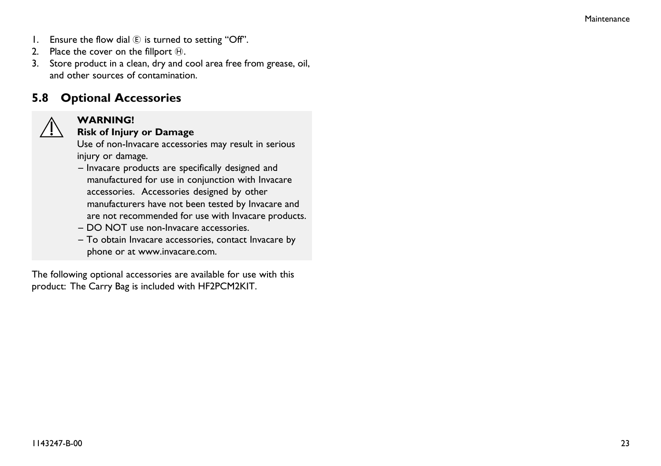- <span id="page-22-0"></span>1. Ensure the flow dial  $(E)$  is turned to setting "Off".
- 2. Place the cover on the fillport  $\Theta$ .
- 3. Store product in <sup>a</sup> clean, dry and cool area free from grease, oil, and other sources of contamination.

# **5.8 Optional Accessories WARNING!**



#### **Risk of Injury or Damage**

Use of non-Invacare accessories may result in serious injury or damage.

- Invacare products are specifically designed and manufactured for use in conjunction with Invacare accessories. Accessories designed by other manufacturers have not been tested by Invacare and are not recommended for use with Invacare products.
- DO NOT use non-Invacare accessories.
- To obtain Invacare accessories, contact Invacare by <sup>p</sup>hone or at www.invacare.com.

The following optional accessories are available for use with this product: The Carry Bag is included with HF2PCM2KIT.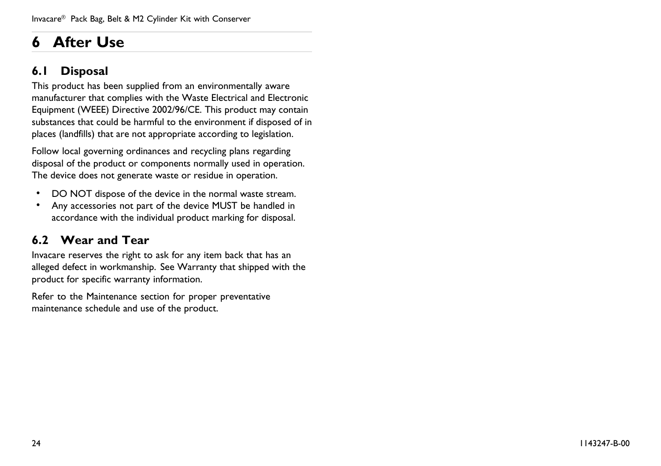# <span id="page-23-0"></span>**<sup>6</sup> After Use**

### **6.1 Disposal**

This product has been supplied from an environmentally aware manufacturer that complies with the Waste Electrical and Electronic Equipment (WEEE) Directive 2002/96/CE. This product may contain substances that could be harmful to the environment if disposed of in <sup>p</sup>laces (landfills) that are not appropriate according to legislation.

Follow local governing ordinances and recycling <sup>p</sup>lans regarding disposal of the product or components normally used in operation. The device does not generate waste or residue in operation.

- •DO NOT dispose of the device in the normal waste stream.
- • Any accessories not part of the device MUST be handled in accordance with the individual product marking for disposal.

# **6.2 Wear and Tear**

Invacare reserves the right to ask for any item back that has an alleged defect in workmanship. See Warranty that shipped with the product for specific warranty information.

Refer to the Maintenance section for proper preventative maintenance schedule and use of the product.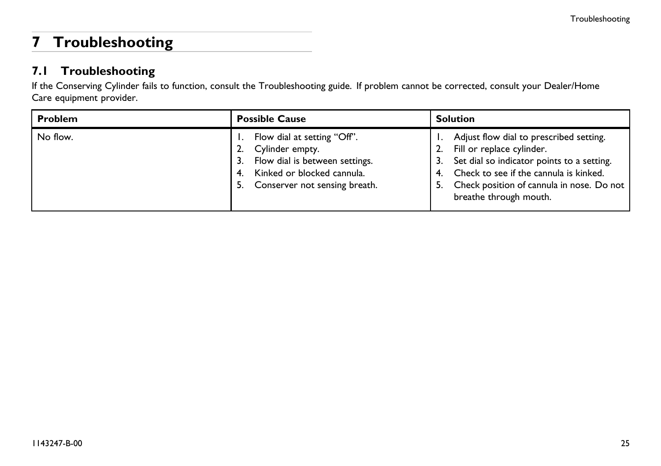# <span id="page-24-0"></span>**<sup>7</sup> Troubleshooting**

#### **7.1 Troubleshooting**

If the Conserving Cylinder fails to function, consult the Troubleshooting guide. If problem cannot be corrected, consult your Dealer/Home Care equipment provider.

| <b>Problem</b> | <b>Possible Cause</b>                                                                                                                                             | <b>Solution</b>                                                                                                                                                                                                                     |
|----------------|-------------------------------------------------------------------------------------------------------------------------------------------------------------------|-------------------------------------------------------------------------------------------------------------------------------------------------------------------------------------------------------------------------------------|
| No flow.       | Flow dial at setting "Off".<br>Cylinder empty.<br>2.<br>3. Flow dial is between settings.<br>Kinked or blocked cannula.<br>4.<br>5. Conserver not sensing breath. | Adjust flow dial to prescribed setting.<br>Fill or replace cylinder.<br>Set dial so indicator points to a setting.<br>Check to see if the cannula is kinked.<br>Check position of cannula in nose. Do not<br>breathe through mouth. |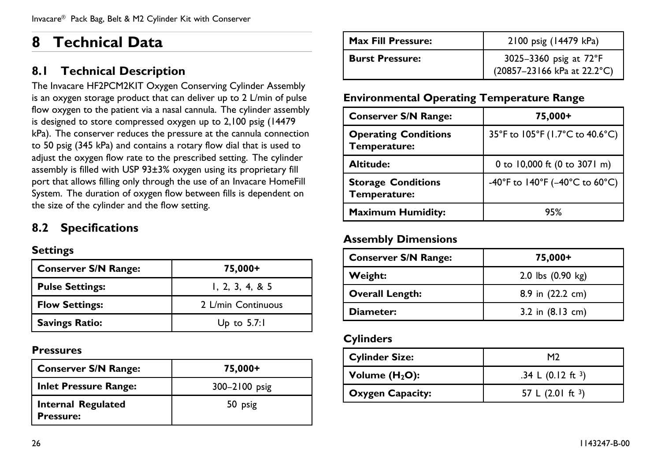# <span id="page-25-0"></span>**<sup>8</sup> Technical Data**

### **8.1 Technical Description**

The Invacare HF2PCM2KIT Oxygen Conserving Cylinder Assembly is an oxygen storage product that can deliver up to <sup>2</sup> L/min of pulse flow oxygen to the patient via <sup>a</sup> nasal cannula. The cylinder assembly is designed to store compresse<sup>d</sup> oxygen up to 2,100 psig (14479 kPa). The conserver reduces the pressure at the cannula connection to <sup>50</sup> psig (345 kPa) and contains <sup>a</sup> rotary flow dial that is used to adjust the oxygen flow rate to the prescribed setting. The cylinder assembly is filled with USP 93±3% oxygen using its proprietary fill port that allows filling only through the use of an Invacare HomeFill System. The duration of oxygen flow between fills is dependent on the size of the cylinder and the flow setting.

### **8.2 Specifications**

#### **Settings**

| <b>Conserver S/N Range:</b> | 75,000+                   |
|-----------------------------|---------------------------|
| <b>Pulse Settings:</b>      | 1, 2, 3, 4, 8, 5          |
| <b>Flow Settings:</b>       | 2 L/min Continuous        |
| <b>Savings Ratio:</b>       | U <sub>p</sub> to $5.7:1$ |

#### **Pressures**

| <b>Conserver S/N Range:</b>                   | 75,000+       |
|-----------------------------------------------|---------------|
| <b>Inlet Pressure Range:</b>                  | 300-2100 psig |
| <b>Internal Regulated</b><br><b>Pressure:</b> | 50 psig       |

| <b>Max Fill Pressure:</b> | 2100 psig (14479 kPa)                                 |
|---------------------------|-------------------------------------------------------|
| <b>Burst Pressure:</b>    | 3025-3360 psig at 72°F<br>(20857-23166 kPa at 22.2°C) |

#### **Environmental Operating Temperature Range**

| <b>Conserver S/N Range:</b>                 | 75,000+                         |
|---------------------------------------------|---------------------------------|
| <b>Operating Conditions</b><br>Temperature: | 35°F to 105°F (1.7°C to 40.6°C) |
| Altitude:                                   | 0 to 10,000 ft (0 to 3071 m)    |
| <b>Storage Conditions</b><br>Temperature:   | -40°F to 140°F (-40°C to 60°C)  |
| <b>Maximum Humidity:</b>                    | 95%                             |

#### **Assembly Dimensions**

| <b>Conserver S/N Range:</b> | 75,000+                    |
|-----------------------------|----------------------------|
| Weight:                     | 2.0 lbs (0.90 kg)          |
| <b>Overall Length:</b>      | 8.9 in (22.2 cm)           |
| Diameter:                   | 3.2 in $(8.13 \text{ cm})$ |

#### **Cylinders**

| <b>Cylinder Size:</b>   | M <sub>2</sub>              |
|-------------------------|-----------------------------|
| Volume $(H2O)$ :        | .34 L $(0.12 \text{ ft}^3)$ |
| <b>Oxygen Capacity:</b> | 57 L $(2.01 \text{ ft}^3)$  |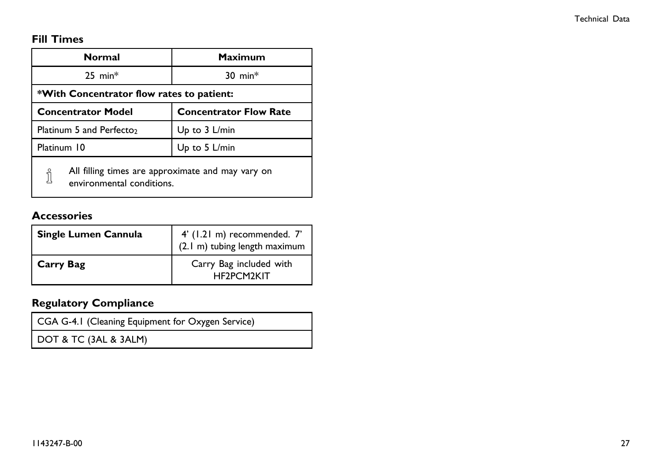#### **Fill Times**

| <b>Normal</b>                                                                       | Maximum                       |  |
|-------------------------------------------------------------------------------------|-------------------------------|--|
| $25$ min <sup>*</sup>                                                               | $30$ min <sup>*</sup>         |  |
| *With Concentrator flow rates to patient:                                           |                               |  |
| <b>Concentrator Model</b>                                                           | <b>Concentrator Flow Rate</b> |  |
| Platinum 5 and Perfecto <sub>2</sub>                                                | Up to 3 L/min                 |  |
| Platinum 10                                                                         | Up to 5 L/min                 |  |
| All filling times are approximate and may vary on<br>i<br>environmental conditions. |                               |  |

#### **Accessories**

| Single Lumen Cannula | 4' (1.21 m) recommended. 7'<br>(2.1 m) tubing length maximum |
|----------------------|--------------------------------------------------------------|
| <b>Carry Bag</b>     | Carry Bag included with<br>HF2PCM2KIT                        |

#### **Regulatory Compliance**

CGA G-4.1 (Cleaning Equipment for Oxygen Service)

DOT & TC (3AL & 3ALM)